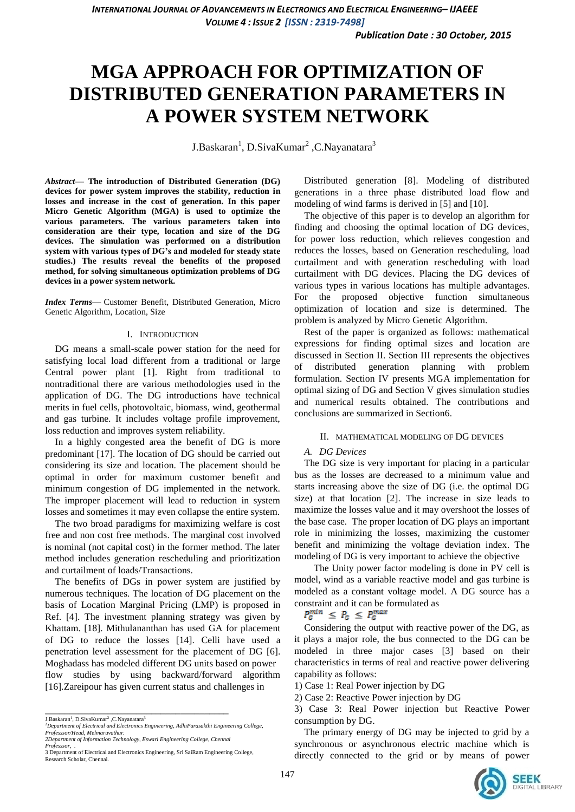# **MGA APPROACH FOR OPTIMIZATION OF DISTRIBUTED GENERATION PARAMETERS IN A POWER SYSTEM NETWORK**

J.Baskaran<sup>1</sup>, D.SivaKumar<sup>2</sup> ,C.Nayanatara<sup>3</sup>

*Abstract***— The introduction of Distributed Generation (DG) devices for power system improves the stability, reduction in losses and increase in the cost of generation. In this paper Micro Genetic Algorithm (MGA) is used to optimize the various parameters. The various parameters taken into consideration are their type, location and size of the DG devices. The simulation was performed on a distribution system with various types of DG's and modeled for steady state studies.) The results reveal the benefits of the proposed method, for solving simultaneous optimization problems of DG devices in a power system network.**

*Index Terms***—** Customer Benefit, Distributed Generation, Micro Genetic Algorithm, Location, Size

#### I. INTRODUCTION

DG means a small-scale power station for the need for satisfying local load different from a traditional or large Central power plant [1]. Right from traditional to nontraditional there are various methodologies used in the application of DG. The DG introductions have technical merits in fuel cells, photovoltaic, biomass, wind, geothermal and gas turbine. It includes voltage profile improvement, loss reduction and improves system reliability.

In a highly congested area the benefit of DG is more predominant [17]. The location of DG should be carried out considering its size and location. The placement should be optimal in order for maximum customer benefit and minimum congestion of DG implemented in the network. The improper placement will lead to reduction in system losses and sometimes it may even collapse the entire system.

The two broad paradigms for maximizing welfare is cost free and non cost free methods. The marginal cost involved is nominal (not capital cost) in the former method. The later method includes generation rescheduling and prioritization and curtailment of loads/Transactions.

The benefits of DGs in power system are justified by numerous techniques. The location of DG placement on the basis of Location Marginal Pricing (LMP) is proposed in Ref. [4]. The investment planning strategy was given by Khattam. [18]. Mithulananthan has used GA for placement of DG to reduce the losses [14]. Celli have used a penetration level assessment for the placement of DG [6]. Moghadass has modeled different DG units based on power flow studies by using backward/forward algorithm [16].Zareipour has given current status and challenges in

\_\_\_\_\_\_\_\_\_\_\_\_\_\_\_\_\_\_\_\_\_\_\_\_\_\_\_\_\_\_\_\_\_\_\_\_\_\_

Distributed generation [8]. Modeling of distributed generations in a three phase distributed load flow and modeling of wind farms is derived in [5] and [10].

The objective of this paper is to develop an algorithm for finding and choosing the optimal location of DG devices, for power loss reduction, which relieves congestion and reduces the losses, based on Generation rescheduling, load curtailment and with generation rescheduling with load curtailment with DG devices. Placing the DG devices of various types in various locations has multiple advantages. For the proposed objective function simultaneous optimization of location and size is determined. The problem is analyzed by Micro Genetic Algorithm.

Rest of the paper is organized as follows: mathematical expressions for finding optimal sizes and location are discussed in Section II. Section III represents the objectives of distributed generation planning with problem formulation. Section IV presents MGA implementation for optimal sizing of DG and Section V gives simulation studies and numerical results obtained. The contributions and conclusions are summarized in Section6.

## II. MATHEMATICAL MODELING OF DG DEVICES

## *A. DG Devices*

The DG size is very important for placing in a particular bus as the losses are decreased to a minimum value and starts increasing above the size of DG (i.e. the optimal DG size) at that location [2]. The increase in size leads to maximize the losses value and it may overshoot the losses of the base case. The proper location of DG plays an important role in minimizing the losses, maximizing the customer benefit and minimizing the voltage deviation index. The modeling of DG is very important to achieve the objective

The Unity power factor modeling is done in PV cell is model, wind as a variable reactive model and gas turbine is modeled as a constant voltage model. A DG source has a constraint and it can be formulated as

 $P_G^{min} \leq P_G \leq P_G^{max}$ 

Considering the output with reactive power of the DG, as it plays a major role, the bus connected to the DG can be modeled in three major cases [3] based on their characteristics in terms of real and reactive power delivering capability as follows:

The primary energy of DG may be injected to grid by a synchronous or asynchronous electric machine which is directly connected to the grid or by means of power



J.Baskaran<sup>1</sup>, D.SivaKumar<sup>2</sup>, C.Nayanatara<sup>3</sup>

*<sup>1</sup>Department of Electrical and Electronics Engineering, AdhiParasakthi Engineering College, Professsor/Head, Melmaruvathur. 2Department of Information Technology, Eswari Engineering College, Chennai*

*Professsor, .* 3 Department of Electrical and Electronics Engineering, Sri SaiRam Engineering College, Research Scholar, Chennai.

<sup>1)</sup> Case 1: Real Power injection by DG

<sup>2)</sup> Case 2: Reactive Power injection by DG

<sup>3)</sup> Case 3: Real Power injection but Reactive Power consumption by DG.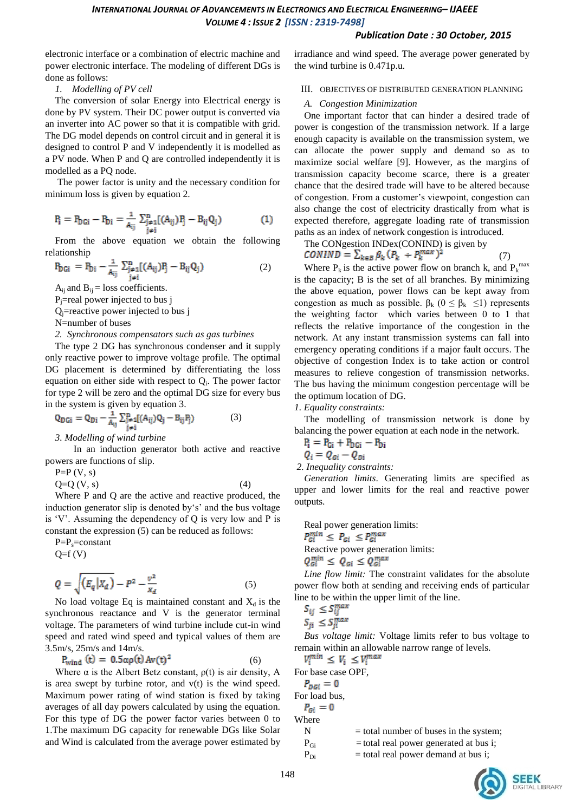# *Publication Date : 30 October, 2015*

electronic interface or a combination of electric machine and power electronic interface. The modeling of different DGs is done as follows:

*1. Modelling of PV cell*

The conversion of solar Energy into Electrical energy is done by PV system. Their DC power output is converted via an inverter into AC power so that it is compatible with grid. The DG model depends on control circuit and in general it is designed to control P and V independently it is modelled as a PV node. When P and Q are controlled independently it is modelled as a PQ node.

The power factor is unity and the necessary condition for minimum loss is given by equation 2.

$$
P_i = P_{DGi} - P_{Di} = \frac{1}{A_{ij}} \sum_{\substack{j=1 \ j \neq i}}^{n} [(A_{ij})P_j - B_{ij}Q_j)
$$
 (1)

From the above equation we obtain the following relationship

$$
P_{DGi} = P_{Di} - \frac{1}{A_{ij}} \sum_{\substack{j=1 \ j \neq i}}^{n} [(A_{ij})P_j - B_{ij}Q_j)
$$
 (2)

 $A_{ij}$  and  $B_{ij}$  = loss coefficients.

 $P_j$ =real power injected to bus j

 $Q_i$ =reactive power injected to bus j

N=number of buses

# *2. Synchronous compensators such as gas turbines*

The type 2 DG has synchronous condenser and it supply only reactive power to improve voltage profile. The optimal DG placement is determined by differentiating the loss equation on either side with respect to  $Q_i$ . The power factor for type 2 will be zero and the optimal DG size for every bus in the system is given by equation 3.

$$
Q_{DGi} = Q_{Di} - \frac{1}{A_{ij}} \sum_{\substack{j \neq i \\ j \neq i}}^{n} [(A_{ij})Q_j - B_{ij}P_j)
$$
 (3)

*3. Modelling of wind turbine*

In an induction generator both active and reactive powers are functions of slip.

 $P=P(V, s)$ 

 $Q=Q (V, s)$  (4) Where P and Q are the active and reactive produced, the

induction generator slip is denoted by's' and the bus voltage is 'V'. Assuming the dependency of  $Q$  is very low and  $P$  is constant the expression (5) can be reduced as follows:

 $P=P_s=constant$  $Q= f(V)$ 

$$
Q = \sqrt{\left(E_q \middle| X_d\right)} - P^2 - \frac{v^2}{x_d} \tag{5}
$$

No load voltage Eq is maintained constant and  $X_d$  is the synchronous reactance and V is the generator terminal voltage. The parameters of wind turbine include cut-in wind speed and rated wind speed and typical values of them are 3.5m/s, 25m/s and 14m/s.

$$
P_{wind}(t) = 0.5\alpha\rho(t)Av(t)^{2}
$$
 (6)

Where  $\alpha$  is the Albert Betz constant,  $\rho(t)$  is air density, A is area swept by turbine rotor, and v(t) is the wind speed. Maximum power rating of wind station is fixed by taking averages of all day powers calculated by using the equation. For this type of DG the power factor varies between 0 to 1.The maximum DG capacity for renewable DGs like Solar and Wind is calculated from the average power estimated by

irradiance and wind speed. The average power generated by the wind turbine is 0.471p.u.

III. OBJECTIVES OF DISTRIBUTED GENERATION PLANNING

# *A. Congestion Minimization*

One important factor that can hinder a desired trade of power is congestion of the transmission network. If a large enough capacity is available on the transmission system, we can allocate the power supply and demand so as to maximize social welfare [9]. However, as the margins of transmission capacity become scarce, there is a greater chance that the desired trade will have to be altered because of congestion. From a customer"s viewpoint, congestion can also change the cost of electricity drastically from what is expected therefore, aggregate loading rate of transmission paths as an index of network congestion is introduced.

The CONgestion INDex(CONIND) is given by

$$
CONIND = \sum_{k \in B} \beta_k (P_k + P_k^{max})^2
$$
 (7)

Where  $P_k$  is the active power flow on branch k, and  $P_k^{\text{max}}$ is the capacity; B is the set of all branches. By minimizing the above equation, power flows can be kept away from congestion as much as possible.  $\beta_k$  ( $0 \leq \beta_k \leq 1$ ) represents the weighting factor which varies between 0 to 1 that reflects the relative importance of the congestion in the network. At any instant transmission systems can fall into emergency operating conditions if a major fault occurs. The objective of congestion Index is to take action or control measures to relieve congestion of transmission networks. The bus having the minimum congestion percentage will be the optimum location of DG.

*1. Equality constraints:* 

The modelling of transmission network is done by balancing the power equation at each node in the network.

$$
P_i = P_{Gi} + P_{DGi} - P_{Di}
$$

$$
Q_i = Q_{Gi} - Q_{Di}
$$

*2. Inequality constraints:*

*Generation limits*. Generating limits are specified as upper and lower limits for the real and reactive power outputs.

Real power generation limits:  $P_{Gi}^{min} \leq P_{Gi} \leq P_{Gi}^{max}$ Reactive power generation limits:  $Q_{Gi}^{min} \leq Q_{Gi} \leq Q_{Gi}^{max}$ 

*Line flow limit:* The constraint validates for the absolute power flow both at sending and receiving ends of particular line to be within the upper limit of the line.

$$
S_{ij} \leq S_{ij}^m
$$
  

$$
S_m < S_m^m
$$

 $S_{ji} \leq S_{ji}^{max}$ <br>*Bus voltage limit:* Voltage limits refer to bus voltage to remain within an allowable narrow range of levels.<br> $V_i^{min} \leq V_i \leq V_i^{max}$ 

For base case OPF,  $P_{\textit{D}Gi} = 0$ For load bus,  $P_{Gi} = 0$ Where

 $N =$  total number of buses in the system;

 $P_{Gi}$  = total real power generated at bus i;  $P_{Di}$ 

= total real power demand at bus i;

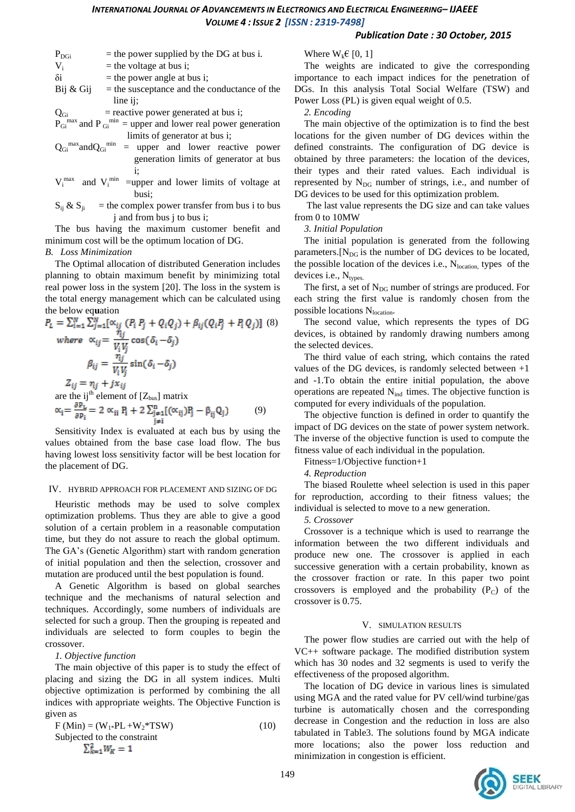# *Publication Date : 30 October, 2015*

| $\rm P_{\rm DGi}$          | $=$ the power supplied by the DG at bus i.                                |  |  |
|----------------------------|---------------------------------------------------------------------------|--|--|
| $V_i$                      | $=$ the voltage at bus i;                                                 |  |  |
| $\delta i$                 | $=$ the power angle at bus i;                                             |  |  |
| $\operatorname{Bij}$ & Gij | $=$ the susceptance and the conductance of the                            |  |  |
|                            | line ii;                                                                  |  |  |
| $Q_{Gi}$                   | $=$ reactive power generated at bus i;                                    |  |  |
|                            | $P_{Gi}^{max}$ and $P_{Gi}^{min}$ = upper and lower real power generation |  |  |
|                            | limits of generator at bus i;                                             |  |  |

- $Q_{Gi}^{max}$  and  $Q_{Gi}^{min}$  = upper and lower reactive power generation limits of generator at bus i;
- $V_i^{max}$  and  $V_i^{min}$  =upper and lower limits of voltage at busi;

 $S_{ij} \& S_{ji}$  = the complex power transfer from bus i to bus j and from bus j to bus i;

The bus having the maximum customer benefit and minimum cost will be the optimum location of DG.

*B. Loss Minimization*

The Optimal allocation of distributed Generation includes planning to obtain maximum benefit by minimizing total real power loss in the system [20]. The loss in the system is the total energy management which can be calculated using the below eq**u**ation

$$
P_{L} = \sum_{i=1}^{N} \sum_{j=1}^{N} [\alpha_{ij} (P_{i} P_{j} + Q_{i} Q_{j}) + \beta_{ij} (Q_{i} P_{j} + P_{i} Q_{j})]
$$
 (8)  
\nwhere  $\alpha_{ij} = \frac{\eta_{ij}}{V_{i} V_{j}} \cos(\delta_{i} - \delta_{j})$   
\n
$$
\beta_{ij} = \frac{\eta_{j}}{V_{i} V_{j}} \sin(\delta_{i} - \delta_{j})
$$
  
\n
$$
Z_{ij} = \eta_{j} + j x_{ij}
$$
  
\nare the ij<sup>th</sup> element of [Z<sub>bus</sub>] matrix  
\n
$$
\alpha_{i} = \frac{\partial P_{L}}{\partial P_{i}} = 2 \alpha_{ii} P_{i} + 2 \sum_{j=1}^{n} [(\alpha_{ij}) P_{j} - \beta_{ij} Q_{j})
$$
 (9)

Sensitivity Index is evaluated at each bus by using the values obtained from the base case load flow. The bus having lowest loss sensitivity factor will be best location for the placement of DG.

## IV. HYBRID APPROACH FOR PLACEMENT AND SIZING OF DG

Heuristic methods may be used to solve complex optimization problems. Thus they are able to give a good solution of a certain problem in a reasonable computation time, but they do not assure to reach the global optimum. The GA"s (Genetic Algorithm) start with random generation of initial population and then the selection, crossover and mutation are produced until the best population is found.

A Genetic Algorithm is based on global searches technique and the mechanisms of natural selection and techniques. Accordingly, some numbers of individuals are selected for such a group. Then the grouping is repeated and individuals are selected to form couples to begin the crossover.

## *1. Objective function*

The main objective of this paper is to study the effect of placing and sizing the DG in all system indices. Multi objective optimization is performed by combining the all indices with appropriate weights. The Objective Function is given as

$$
F (Min) = (W1*PL + W2*TSW)
$$
  
Subjected to the constraint  

$$
\sum_{k=1}^{2} W_{k} = 1
$$
 (10)

# Where  $W_k \in [0, 1]$

The weights are indicated to give the corresponding importance to each impact indices for the penetration of DGs. In this analysis Total Social Welfare (TSW) and Power Loss (PL) is given equal weight of 0.5.

*2. Encoding*

The main objective of the optimization is to find the best locations for the given number of DG devices within the defined constraints. The configuration of DG device is obtained by three parameters: the location of the devices, their types and their rated values. Each individual is represented by  $N_{DG}$  number of strings, i.e., and number of DG devices to be used for this optimization problem.

The last value represents the DG size and can take values from 0 to 10MW

*3. Initial Population*

The initial population is generated from the following parameters.  $[N_{DG}$  is the number of DG devices to be located, the possible location of the devices i.e.,  $N<sub>location</sub>$ , types of the devices i.e., N<sub>types.</sub>

The first, a set of N<sub>DG</sub> number of strings are produced. For each string the first value is randomly chosen from the possible locations N<sub>location</sub>.

The second value, which represents the types of DG devices, is obtained by randomly drawing numbers among the selected devices.

The third value of each string, which contains the rated values of the DG devices, is randomly selected between +1 and -1.To obtain the entire initial population, the above operations are repeated  $N_{ind}$  times. The objective function is computed for every individuals of the population.

The objective function is defined in order to quantify the impact of DG devices on the state of power system network. The inverse of the objective function is used to compute the fitness value of each individual in the population.

Fitness=1/Objective function+1

*4. Reproduction*

The biased Roulette wheel selection is used in this paper for reproduction, according to their fitness values; the individual is selected to move to a new generation.

*5. Crossover*

Crossover is a technique which is used to rearrange the information between the two different individuals and produce new one. The crossover is applied in each successive generation with a certain probability, known as the crossover fraction or rate. In this paper two point crossovers is employed and the probability  $(P_C)$  of the crossover is 0.75.

## V. SIMULATION RESULTS

The power flow studies are carried out with the help of VC++ software package. The modified distribution system which has 30 nodes and 32 segments is used to verify the effectiveness of the proposed algorithm.

The location of DG device in various lines is simulated using MGA and the rated value for PV cell/wind turbine/gas turbine is automatically chosen and the corresponding decrease in Congestion and the reduction in loss are also tabulated in Table3. The solutions found by MGA indicate more locations; also the power loss reduction and minimization in congestion is efficient.

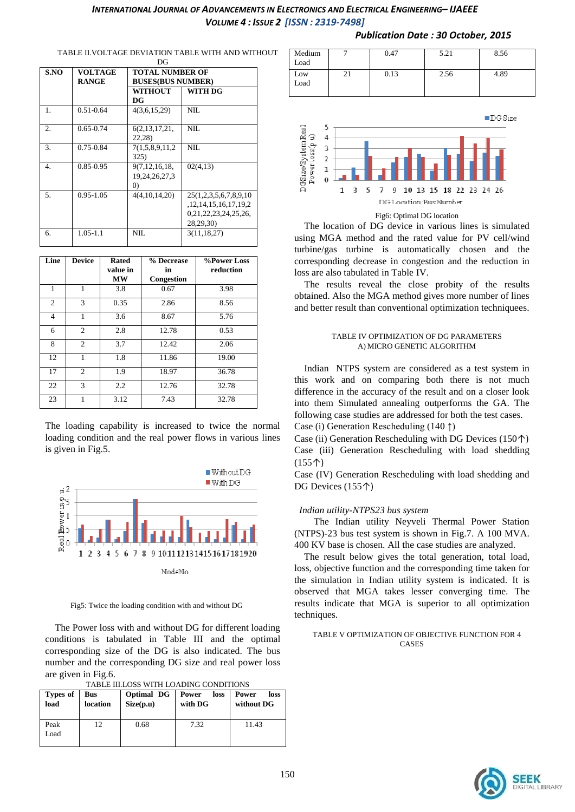| S.NO             | <b>VOLTAGE</b><br><b>RANGE</b> | <b>TOTAL NUMBER OF</b><br><b>BUSES(BUS NUMBER)</b> |                            |  |
|------------------|--------------------------------|----------------------------------------------------|----------------------------|--|
|                  |                                | <b>WITHOUT</b>                                     | WITH DG                    |  |
|                  |                                | DG                                                 |                            |  |
| 1.               | $0.51 - 0.64$                  | 4(3,6,15,29)                                       | NII.                       |  |
| $\overline{2}$ . | $0.65 - 0.74$                  | 6(2, 13, 17, 21,                                   | NII.                       |  |
|                  |                                | 22,28)                                             |                            |  |
| 3.               | 0.75-0.84                      | 7(1,5,8,9,11,2)                                    | NII.                       |  |
|                  |                                | 325)                                               |                            |  |
| 4.               | 0.85-0.95                      | 9(7, 12, 16, 18,                                   | 02(4,13)                   |  |
|                  |                                | 19,24,26,27,3                                      |                            |  |
|                  |                                | $\left( 0\right)$                                  |                            |  |
| 5.               | $0.95 - 1.05$                  | 4(4,10,14,20)                                      | 25(1,2,3,5,6,7,8,9,10)     |  |
|                  |                                |                                                    | ,12, 14, 15, 16, 17, 19, 2 |  |
|                  |                                |                                                    | 0,21,22,23,24,25,26,       |  |
|                  |                                |                                                    | 28,29,30)                  |  |
| 6.               | $1.05 - 1.1$                   | NIL                                                | 3(11, 18, 27)              |  |
|                  |                                |                                                    |                            |  |

#### TABLE II.VOLTAGE DEVIATION TABLE WITH AND WITHOUT DG

| Line           | <b>Device</b>  | <b>Rated</b><br>value in<br><b>MW</b> | % Decrease<br>in<br>Congestion | %Power Loss<br>reduction |
|----------------|----------------|---------------------------------------|--------------------------------|--------------------------|
| 1              | 1              | 3.8                                   | 0.67                           | 3.98                     |
| $\mathfrak{2}$ | 3              | 0.35                                  | 2.86                           | 8.56                     |
| 4              | 1              | 3.6                                   | 8.67                           | 5.76                     |
| 6              | $\overline{c}$ | 2.8                                   | 12.78                          | 0.53                     |
| 8              | $\overline{c}$ | 3.7                                   | 12.42                          | 2.06                     |
| 12             | 1              | 1.8                                   | 11.86                          | 19.00                    |
| 17             | $\overline{c}$ | 1.9                                   | 18.97                          | 36.78                    |
| 22             | 3              | 2.2                                   | 12.76                          | 32.78                    |
| 23             |                | 3.12                                  | 7.43                           | 32.78                    |

The loading capability is increased to twice the normal loading condition and the real power flows in various lines is given in Fig.5.



Fig5: Twice the loading condition with and without DG

The Power loss with and without DG for different loading conditions is tabulated in Table III and the optimal corresponding size of the DG is also indicated. The bus number and the corresponding DG size and real power loss are given in Fig.6.

|  |  | TABLE III.LOSS WITH LOADING CONDITIONS |
|--|--|----------------------------------------|

| Types of<br>load | Bus<br>location | Optimal DG<br>Size(p.u) | Power<br>loss  <br>with DG | Power<br>loss<br>without DG |
|------------------|-----------------|-------------------------|----------------------------|-----------------------------|
| Peak<br>Load     | 12              | 0.68                    | 7.32                       | 11.43                       |

| Medium |          | 0.47 | 5.21 | 8.56 |
|--------|----------|------|------|------|
| Load   |          |      |      |      |
| Low    | $\sim$ 1 | 0.13 | 2.56 | 4.89 |
| Load   |          |      |      |      |
|        |          |      |      |      |





The location of DG device in various lines is simulated using MGA method and the rated value for PV cell/wind turbine/gas turbine is automatically chosen and the corresponding decrease in congestion and the reduction in loss are also tabulated in Table IV.

The results reveal the close probity of the results obtained. Also the MGA method gives more number of lines and better result than conventional optimization techniquees.

#### TABLE IV OPTIMIZATION OF DG PARAMETERS A) MICRO GENETIC ALGORITHM

Indian NTPS system are considered as a test system in this work and on comparing both there is not much difference in the accuracy of the result and on a closer look into them Simulated annealing outperforms the GA. The following case studies are addressed for both the test cases.

Case (i) Generation Rescheduling (140 ↑)

Case (ii) Generation Rescheduling with DG Devices  $(150<sup>†</sup>)$ Case (iii) Generation Rescheduling with load shedding (155↑)

Case (IV) Generation Rescheduling with load shedding and DG Devices (155↑)

## *Indian utility-NTPS23 bus system*

The Indian utility Neyveli Thermal Power Station (NTPS)-23 bus test system is shown in Fig.7. A 100 MVA. 400 KV base is chosen. All the case studies are analyzed.

The result below gives the total generation, total load, loss, objective function and the corresponding time taken for the simulation in Indian utility system is indicated. It is observed that MGA takes lesser converging time. The results indicate that MGA is superior to all optimization techniques.

#### TABLE V OPTIMIZATION OF OBJECTIVE FUNCTION FOR 4 **CASES**